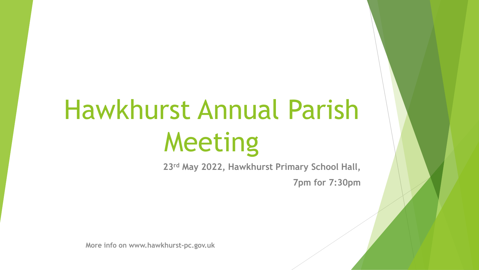# Hawkhurst Annual Parish Meeting

**23rd May 2022, Hawkhurst Primary School Hall,** 

**7pm for 7:30pm**

**More info on www.hawkhurst-pc.gov.uk**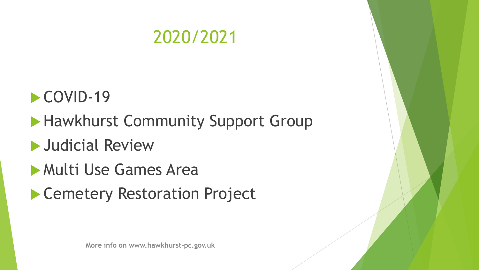

# COVID-19

# **Hawkhurst Community Support Group**

# **Judicial Review**

#### Multi Use Games Area

# ▶ Cemetery Restoration Project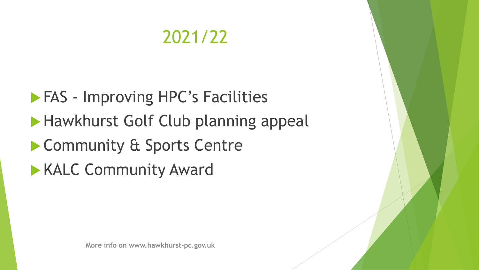# 2021/22

**FAS** - Improving HPC's Facilities **Hawkhurst Golf Club planning appeal** ▶ Community & Sports Centre **KALC Community Award**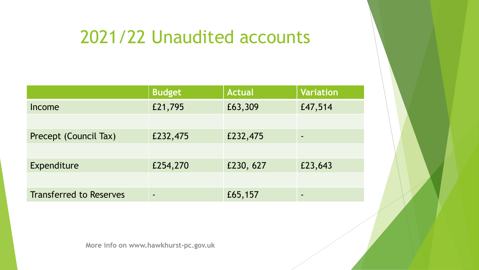# 2021/22 Unaudited accounts

|                                | <b>Budget</b> | <b>Actual</b> | <b>Variation</b> |
|--------------------------------|---------------|---------------|------------------|
| Income                         | £21,795       | £63,309       | £47,514          |
|                                |               |               |                  |
| Precept (Council Tax)          | £232,475      | £232,475      |                  |
|                                |               |               |                  |
| Expenditure                    | £254,270      | £230, 627     | £23,643          |
|                                |               |               |                  |
| <b>Transferred to Reserves</b> | -             | £65,157       |                  |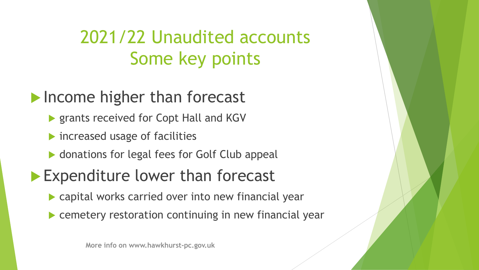# 2021/22 Unaudited accounts Some key points

#### **Income higher than forecast**

- ▶ grants received for Copt Hall and KGV
- **Increased usage of facilities**
- ▶ donations for legal fees for Golf Club appeal

# **Expenditure lower than forecast**

- capital works carried over into new financial year
- **EXA)** cemetery restoration continuing in new financial year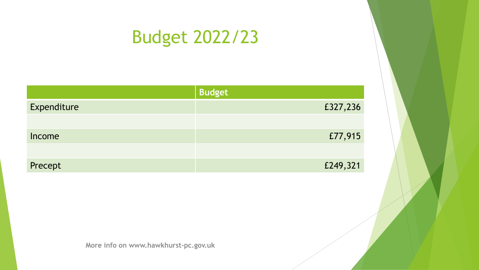# Budget 2022/23

|             | <b>Budget</b> |
|-------------|---------------|
| Expenditure | £327,236      |
|             |               |
| Income      | £77,915       |
|             |               |
| Precept     | £249,321      |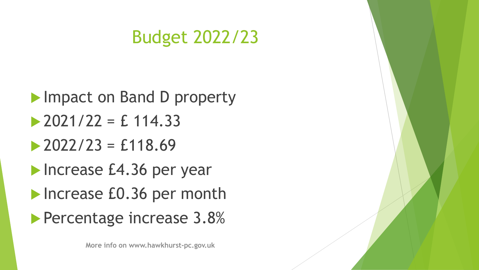# Budget 2022/23

**Impact on Band D property**  $\geq$  2021/22 = £ 114.33  $\geq$  2022/23 = £118.69 **Increase £4.36 per year** Increase £0.36 per month **Percentage increase 3.8%** 

**More info on www.hawkhurst-pc.gov.uk**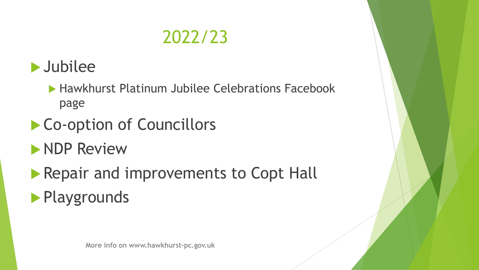# 2022/23



▶ Hawkhurst Platinum Jubilee Celebrations Facebook page

- ▶ Co-option of Councillors
- **NDP Review**
- Repair and improvements to Copt Hall **Playgrounds**